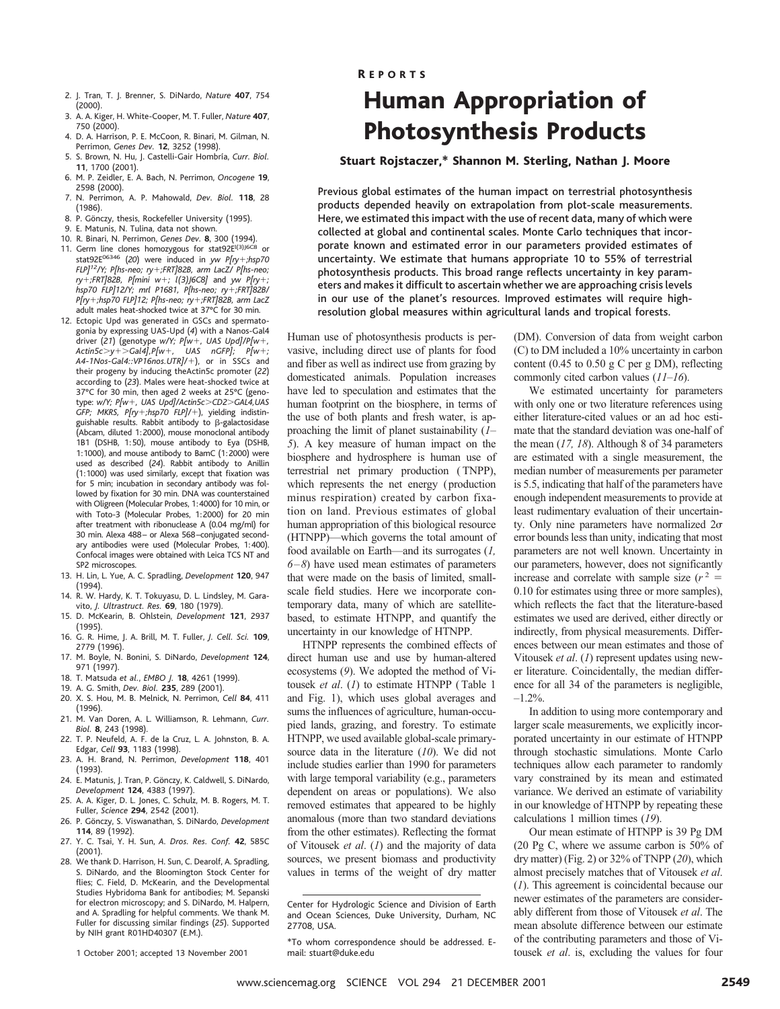- 2. J. Tran, T. J. Brenner, S. DiNardo, *Nature* **407**, 754 (2000).
- 3. A. A. Kiger, H. White-Cooper, M. T. Fuller, *Nature* **407**, 750 (2000).
- 4. D. A. Harrison, P. E. McCoon, R. Binari, M. Gilman, N. Perrimon, *Genes Dev.* **12**, 3252 (1998).
- 5. S. Brown, N. Hu, J. Castelli-Gair Hombría, Curr. Biol. **11**, 1700 (2001).
- 6. M. P. Zeidler, E. A. Bach, N. Perrimon, *Oncogene* **19**, 2598 (2000).
- 7. N. Perrimon, A. P. Mahowald, *Dev. Biol.* **118**, 28 (1986).
- 8. P. Gönczy, thesis, Rockefeller University (1995).
- 9. E. Matunis, N. Tulina, data not shown. 10. R. Binari, N. Perrimon, *Genes Dev.* **8**, 300 (1994).
- 11. Germ line clones homozygous for stat92El(3)J6C8 or stat92E<sup>06346</sup> (20) were induced in *yw P[ry+;hsp70 FLP]12/Y; P[hs-neo; ry*1*;FRT]82B, arm LacZ/ P[hs-neo; ry*1*;FRT]82B, P[mini w*1*; l(3)J6C8]* and *yw P[ry*1*; hsp70 FLP]12/Y; mrl P1681, P[hs-neo; ry*1*;FRT]82B/ P[ry*1*;hsp70 FLP]12; P[hs-neo; ry*1*;FRT]82B, arm LacZ* adult males heat-shocked twice at 37°C for 30 min.
- 12. Ectopic Upd was generated in GSCs and spermatogonia by expressing UAS-Upd (*4*) with a Nanos-Gal4 driver (*21*) (genotype *w/Y; P[w*1*, UAS Upd]/P[w*1*, Actin5c*.*y*1.*Gal4],P[w*1*, UAS nGFP]; P[w*1*; A4-1Nos-Gal4::VP16nos.UTR]/*1), or in SSCs and their progeny by inducing theActin5c promoter (*22*) according to (*23*). Males were heat-shocked twice at 37°C for 30 min, then aged 2 weeks at 25°C (genotype: *w/Y; P[w*1*, UAS Upd]/Actin5c*.*CD2*.*GAL4,UAS GFP; MKRS, P[ry+;hsp70 FLP]/+)*, yielding indistinguishable results. Rabbit antibody to  $\beta$ -galactosidase (Abcam, diluted 1:2000), mouse monoclonal antibody 1B1 (DSHB, 1:50), mouse antibody to Eya (DSHB, 1:1000), and mouse antibody to BamC (1:2000) were used as described (*24*). Rabbit antibody to Anillin (1:1000) was used similarly, except that fixation was for 5 min; incubation in secondary antibody was followed by fixation for 30 min. DNA was counterstained with Oligreen (Molecular Probes, 1:4000) for 10 min, or with Toto-3 (Molecular Probes, 1:2000) for 20 min after treatment with ribonuclease A (0.04 mg/ml) for 30 min. Alexa 488– or Alexa 568–conjugated secondary antibodies were used (Molecular Probes, 1:400). Confocal images were obtained with Leica TCS NT and SP2 microscopes.
- 13. H. Lin, L. Yue, A. C. Spradling, *Development* **120**, 947 (1994).
- 14. R. W. Hardy, K. T. Tokuyasu, D. L. Lindsley, M. Garavito, *J. Ultrastruct. Res.* **69**, 180 (1979).
- 15. D. McKearin, B. Ohlstein, *Development* **121**, 2937 (1995).
- 16. G. R. Hime, J. A. Brill, M. T. Fuller, *J. Cell. Sci.* **109**, 2779 (1996).
- 17. M. Boyle, N. Bonini, S. DiNardo, *Development* **124**, 971 (1997).
- 18. T. Matsuda *et al.*, *EMBO J.* **18**, 4261 (1999).
- 19. A. G. Smith, *Dev. Biol.* **235**, 289 (2001).
- 20. X. S. Hou, M. B. Melnick, N. Perrimon, *Cell* **84**, 411 (1996).
- 21. M. Van Doren, A. L. Williamson, R. Lehmann, *Curr. Biol.* **8**, 243 (1998).
- 22. T. P. Neufeld, A. F. de la Cruz, L. A. Johnston, B. A. Edgar, *Cell* **93**, 1183 (1998).
- 23. A. H. Brand, N. Perrimon, *Development* **118**, 401 (1993).
- 24. E. Matunis, J. Tran, P. Gönczy, K. Caldwell, S. DiNardo, *Development* **124**, 4383 (1997).
- 25. A. A. Kiger, D. L. Jones, C. Schulz, M. B. Rogers, M. T. Fuller, *Science* **294**, 2542 (2001).
- 26. P. Gönczy, S. Viswanathan, S. DiNardo, *Development* **114**, 89 (1992).
- 27. Y. C. Tsai, Y. H. Sun, *A. Dros. Res. Conf.* **42**, 585C (2001).
- 28. We thank D. Harrison, H. Sun, C. Dearolf, A. Spradling, S. DiNardo, and the Bloomington Stock Center for flies; C. Field, D. McKearin, and the Developmental Studies Hybridoma Bank for antibodies; M. Sepanski for electron microscopy; and S. DiNardo, M. Halpern, and A. Spradling for helpful comments. We thank M. Fuller for discussing similar findings (*25*). Supported by NIH grant R01HD40307 (E.M.).

1 October 2001; accepted 13 November 2001

### R EPORTS

# Human Appropriation of Photosynthesis Products

## Stuart Rojstaczer,\* Shannon M. Sterling, Nathan J. Moore

Previous global estimates of the human impact on terrestrial photosynthesis products depended heavily on extrapolation from plot-scale measurements. Here, we estimated this impact with the use of recent data, many of which were collected at global and continental scales. Monte Carlo techniques that incorporate known and estimated error in our parameters provided estimates of uncertainty. We estimate that humans appropriate 10 to 55% of terrestrial photosynthesis products. This broad range reflects uncertainty in key parameters and makes it difficult to ascertain whether we are approaching crisis levels in our use of the planet's resources. Improved estimates will require highresolution global measures within agricultural lands and tropical forests.

Human use of photosynthesis products is pervasive, including direct use of plants for food and fiber as well as indirect use from grazing by domesticated animals. Population increases have led to speculation and estimates that the human footprint on the biosphere, in terms of the use of both plants and fresh water, is approaching the limit of planet sustainability (*1– 5*). A key measure of human impact on the biosphere and hydrosphere is human use of terrestrial net primary production ( TNPP), which represents the net energy (production minus respiration) created by carbon fixation on land. Previous estimates of global human appropriation of this biological resource (HTNPP)—which governs the total amount of food available on Earth—and its surrogates (*1, 6–8*) have used mean estimates of parameters that were made on the basis of limited, smallscale field studies. Here we incorporate contemporary data, many of which are satellitebased, to estimate HTNPP, and quantify the uncertainty in our knowledge of HTNPP.

HTNPP represents the combined effects of direct human use and use by human-altered ecosystems (*9*). We adopted the method of Vitousek *et al*. (*1*) to estimate HTNPP ( Table 1 and Fig. 1), which uses global averages and sums the influences of agriculture, human-occupied lands, grazing, and forestry. To estimate HTNPP, we used available global-scale primarysource data in the literature (*10*). We did not include studies earlier than 1990 for parameters with large temporal variability (e.g., parameters dependent on areas or populations). We also removed estimates that appeared to be highly anomalous (more than two standard deviations from the other estimates). Reflecting the format of Vitousek *et al*. (*1*) and the majority of data sources, we present biomass and productivity values in terms of the weight of dry matter

(DM). Conversion of data from weight carbon (C) to DM included a 10% uncertainty in carbon content (0.45 to 0.50 g C per g DM), reflecting commonly cited carbon values (*11–16*).

We estimated uncertainty for parameters with only one or two literature references using either literature-cited values or an ad hoc estimate that the standard deviation was one-half of the mean (*17, 18*). Although 8 of 34 parameters are estimated with a single measurement, the median number of measurements per parameter is 5.5, indicating that half of the parameters have enough independent measurements to provide at least rudimentary evaluation of their uncertainty. Only nine parameters have normalized  $2\sigma$ error bounds less than unity, indicating that most parameters are not well known. Uncertainty in our parameters, however, does not significantly increase and correlate with sample size  $(r^2 =$ 0.10 for estimates using three or more samples), which reflects the fact that the literature-based estimates we used are derived, either directly or indirectly, from physical measurements. Differences between our mean estimates and those of Vitousek *et al*. (*1*) represent updates using newer literature. Coincidentally, the median difference for all 34 of the parameters is negligible,  $-1.2\%$ .

In addition to using more contemporary and larger scale measurements, we explicitly incorporated uncertainty in our estimate of HTNPP through stochastic simulations. Monte Carlo techniques allow each parameter to randomly vary constrained by its mean and estimated variance. We derived an estimate of variability in our knowledge of HTNPP by repeating these calculations 1 million times (*19*).

Our mean estimate of HTNPP is 39 Pg DM (20 Pg C, where we assume carbon is 50% of dry matter) (Fig. 2) or 32% of TNPP (*20*), which almost precisely matches that of Vitousek *et al*. (*1*). This agreement is coincidental because our newer estimates of the parameters are considerably different from those of Vitousek *et al*. The mean absolute difference between our estimate of the contributing parameters and those of Vitousek *et al*. is, excluding the values for four

Center for Hydrologic Science and Division of Earth and Ocean Sciences, Duke University, Durham, NC 27708, USA.

<sup>\*</sup>To whom correspondence should be addressed. Email: stuart@duke.edu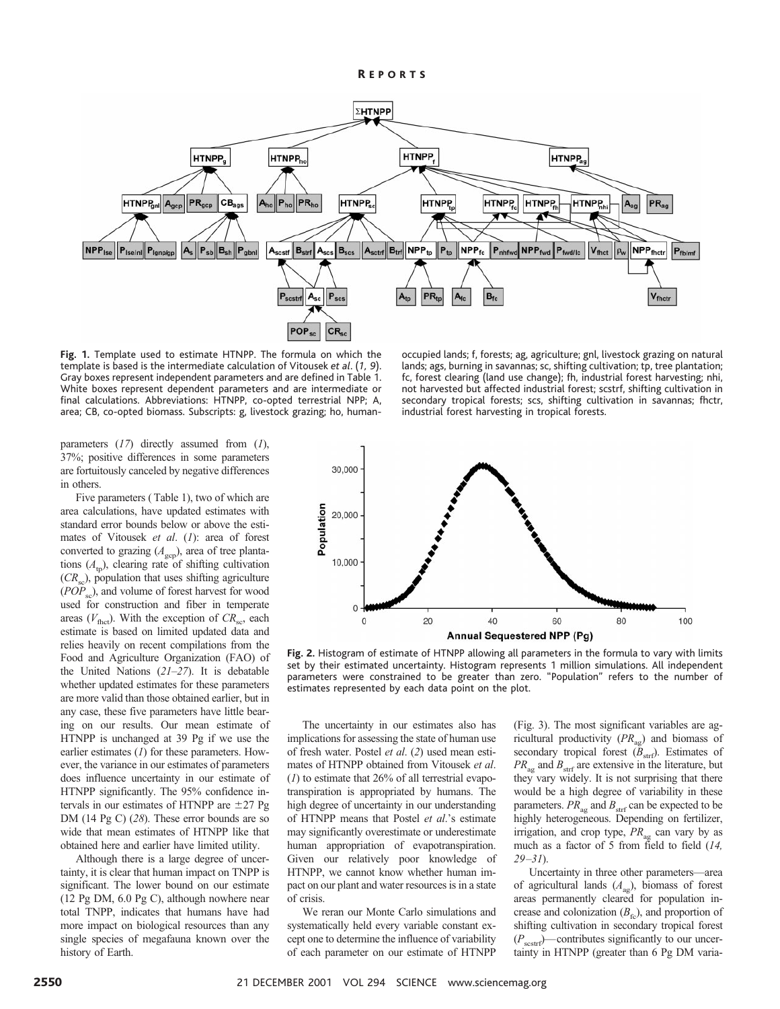

**Fig. 1.** Template used to estimate HTNPP. The formula on which the template is based is the intermediate calculation of Vitousek *et al*. (*1, 9*). Gray boxes represent independent parameters and are defined in Table 1. White boxes represent dependent parameters and are intermediate or final calculations. Abbreviations: HTNPP, co-opted terrestrial NPP; A, area; CB, co-opted biomass. Subscripts: g, livestock grazing; ho, human-

occupied lands; f, forests; ag, agriculture; gnl, livestock grazing on natural lands; ags, burning in savannas; sc, shifting cultivation; tp, tree plantation; fc, forest clearing (land use change); fh, industrial forest harvesting; nhi, not harvested but affected industrial forest; scstrf, shifting cultivation in secondary tropical forests; scs, shifting cultivation in savannas; fhctr, industrial forest harvesting in tropical forests.

parameters (*17*) directly assumed from (*1*), 37%; positive differences in some parameters are fortuitously canceled by negative differences in others.

Five parameters ( Table 1), two of which are area calculations, have updated estimates with standard error bounds below or above the estimates of Vitousek *et al*. (*1*): area of forest converted to grazing  $(A_{\text{gcp}})$ , area of tree plantations  $(A_{tp})$ , clearing rate of shifting cultivation  $(CR<sub>so</sub>)$ , population that uses shifting agriculture (*POP*<sub>sc</sub>), and volume of forest harvest for wood used for construction and fiber in temperate areas  $(V_{\text{fhot}})$ . With the exception of  $CR_{\text{sc}}$ , each estimate is based on limited updated data and relies heavily on recent compilations from the Food and Agriculture Organization (FAO) of the United Nations (*21–27*). It is debatable whether updated estimates for these parameters are more valid than those obtained earlier, but in any case, these five parameters have little bearing on our results. Our mean estimate of HTNPP is unchanged at 39 Pg if we use the earlier estimates (*1*) for these parameters. However, the variance in our estimates of parameters does influence uncertainty in our estimate of HTNPP significantly. The 95% confidence intervals in our estimates of HTNPP are  $\pm$ 27 Pg DM (14 Pg C) (*28*). These error bounds are so wide that mean estimates of HTNPP like that obtained here and earlier have limited utility.

Although there is a large degree of uncertainty, it is clear that human impact on TNPP is significant. The lower bound on our estimate (12 Pg DM, 6.0 Pg C), although nowhere near total TNPP, indicates that humans have had more impact on biological resources than any single species of megafauna known over the history of Earth.



**Fig. 2.** Histogram of estimate of HTNPP allowing all parameters in the formula to vary with limits set by their estimated uncertainty. Histogram represents 1 million simulations. All independent parameters were constrained to be greater than zero. "Population" refers to the number of estimates represented by each data point on the plot.

The uncertainty in our estimates also has implications for assessing the state of human use of fresh water. Postel *et al*. (*2*) used mean estimates of HTNPP obtained from Vitousek *et al*. (*1*) to estimate that 26% of all terrestrial evapotranspiration is appropriated by humans. The high degree of uncertainty in our understanding of HTNPP means that Postel *et al*.'s estimate may significantly overestimate or underestimate human appropriation of evapotranspiration. Given our relatively poor knowledge of HTNPP, we cannot know whether human impact on our plant and water resources is in a state of crisis.

We reran our Monte Carlo simulations and systematically held every variable constant except one to determine the influence of variability of each parameter on our estimate of HTNPP

(Fig. 3). The most significant variables are agricultural productivity  $(PR_{\text{ae}})$  and biomass of secondary tropical forest  $(B<sub>str</sub>)$ . Estimates of  $PR_{\text{av}}$  and  $B_{\text{strf}}$  are extensive in the literature, but they vary widely. It is not surprising that there would be a high degree of variability in these parameters.  $PR_{\text{ag}}$  and  $B_{\text{strf}}$  can be expected to be highly heterogeneous. Depending on fertilizer, irrigation, and crop type,  $PR_{\text{ag}}$  can vary by as much as a factor of 5 from field to field (*14, 29–31*).

Uncertainty in three other parameters—area of agricultural lands  $(A_{aq})$ , biomass of forest areas permanently cleared for population increase and colonization  $(B_{\text{fc}})$ , and proportion of shifting cultivation in secondary tropical forest  $(P_{\text{scstrf}})$ —contributes significantly to our uncertainty in HTNPP (greater than 6 Pg DM varia-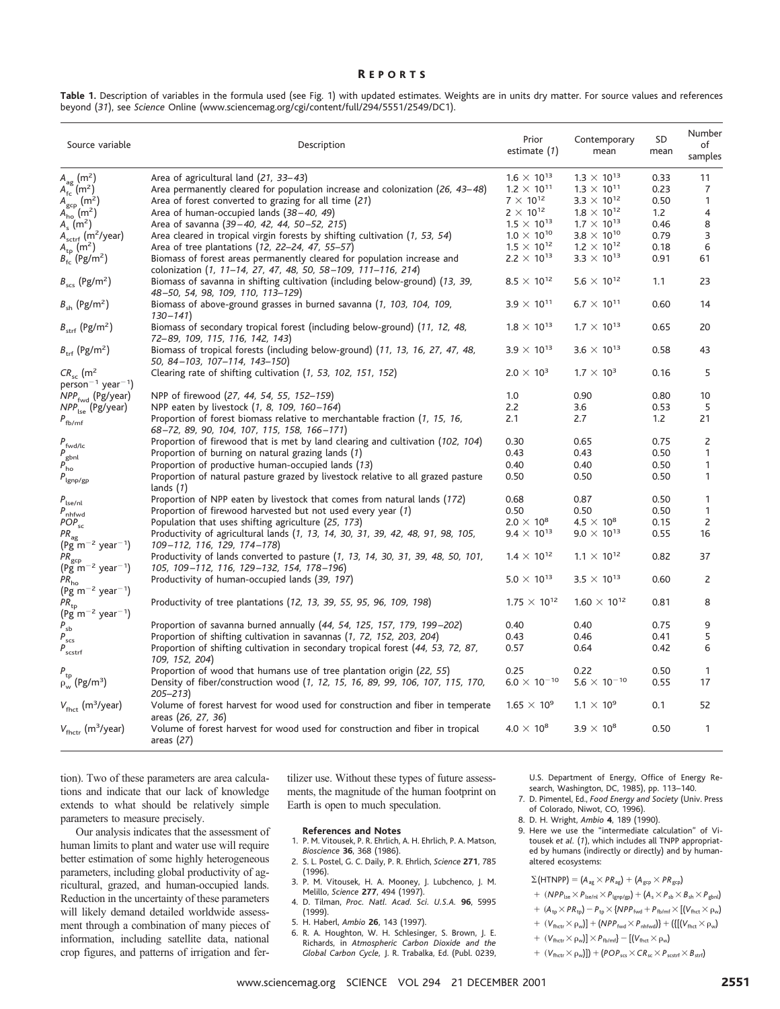#### R EPORTS

| Source variable                                                        | Description                                                                                                                              | Prior<br>estimate (1) | Contemporary<br>mean  | SD<br>mean | Number<br>of<br>samples |
|------------------------------------------------------------------------|------------------------------------------------------------------------------------------------------------------------------------------|-----------------------|-----------------------|------------|-------------------------|
| $A_{\text{ag}}(m^2)$                                                   | Area of agricultural land (21, 33–43)                                                                                                    | $1.6 \times 10^{13}$  | $1.3 \times 10^{13}$  | 0.33       | 11                      |
| $A_{\text{fc}}(m^2)$                                                   | Area permanently cleared for population increase and colonization (26, 43-48)                                                            | $1.2 \times 10^{11}$  | $1.3 \times 10^{11}$  | 0.23       | $\overline{7}$          |
| $A_{\text{gcp}}(m^2)$                                                  | Area of forest converted to grazing for all time (21)                                                                                    | $7 \times 10^{12}$    | $3.3 \times 10^{12}$  | 0.50       | 1                       |
| $A_{\text{ho}}(m^2)$                                                   | Area of human-occupied lands $(38-40, 49)$                                                                                               | $2 \times 10^{12}$    | $1.8 \times 10^{12}$  | 1.2        | 4                       |
| $A_s$ (m <sup>2</sup> )                                                | Area of savanna (39–40, 42, 44, 50–52, 215)                                                                                              | $1.5 \times 10^{13}$  | $1.7 \times 10^{13}$  | 0.46       | 8                       |
| $A_{\text{sctrf}}$ (m <sup>2</sup> /year)                              | Area cleared in tropical virgin forests by shifting cultivation (1, 53, 54)                                                              | $1.0 \times 10^{10}$  | $3.8 \times 10^{10}$  | 0.79       | 3                       |
| $A_{\text{tp}}(m^2)$                                                   | Area of tree plantations (12, 22–24, 47, 55–57)                                                                                          | $1.5 \times 10^{12}$  | $1.2 \times 10^{12}$  | 0.18       | 6                       |
| $B_{\rm fc}^{+}$ (Pg/m <sup>2</sup> )                                  | Biomass of forest areas permanently cleared for population increase and<br>colonization (1, 11-14, 27, 47, 48, 50, 58-109, 111-116, 214) | $2.2 \times 10^{13}$  | $3.3 \times 10^{13}$  | 0.91       | 61                      |
| $B_{\rm scs}$ (Pg/m <sup>2</sup> )                                     | Biomass of savanna in shifting cultivation (including below-ground) (13, 39,<br>48-50, 54, 98, 109, 110, 113-129)                        | $8.5 \times 10^{12}$  | $5.6 \times 10^{12}$  | 1.1        | 23                      |
| $B_{\rm sh}$ (Pg/m <sup>2</sup> )                                      | Biomass of above-ground grasses in burned savanna (1, 103, 104, 109,<br>$130 - 141$                                                      | $3.9 \times 10^{11}$  | $6.7 \times 10^{11}$  | 0.60       | 14                      |
| $B_{\rm strf}$ (Pg/m <sup>2</sup> )                                    | Biomass of secondary tropical forest (including below-ground) (11, 12, 48,<br>72–89, 109, 115, 116, 142, 143)                            | $1.8 \times 10^{13}$  | $1.7 \times 10^{13}$  | 0.65       | 20                      |
| $B_{\text{trf}}$ (Pg/m <sup>2</sup> )                                  | Biomass of tropical forests (including below-ground) (11, 13, 16, 27, 47, 48,<br>50, 84-103, 107-114, 143-150)                           | $3.9 \times 10^{13}$  | $3.6 \times 10^{13}$  | 0.58       | 43                      |
| $CR_{sc}$ (m <sup>2</sup><br>$person^{-1}$ year <sup>-1</sup> )        | Clearing rate of shifting cultivation (1, 53, 102, 151, 152)                                                                             | $2.0 \times 10^{3}$   | $1.7 \times 10^{3}$   | 0.16       | 5                       |
| NPP <sub>fwd</sub> (Pg/year)                                           | NPP of firewood (27, 44, 54, 55, 152-159)                                                                                                | 1.0                   | 0.90                  | 0.80       | 10                      |
| $NPP_{\text{lse}}$ (Pg/year)                                           | NPP eaten by livestock (1, 8, 109, 160-164)                                                                                              | 2.2                   | 3.6                   | 0.53       | 5                       |
| $P_{\rm fb/mf}$                                                        | Proportion of forest biomass relative to merchantable fraction (1, 15, 16,<br>68-72, 89, 90, 104, 107, 115, 158, 166-171)                | 2.1                   | 2.7                   | 1.2        | 21                      |
| $P_{\rm fwd/lc}$                                                       | Proportion of firewood that is met by land clearing and cultivation (102, 104)                                                           | 0.30                  | 0.65                  | 0.75       | 2                       |
|                                                                        | Proportion of burning on natural grazing lands (1)                                                                                       | 0.43                  | 0.43                  | 0.50       | $\mathbf{1}$            |
| $P_{\rm gbnl}$<br>$P_{ho}$                                             | Proportion of productive human-occupied lands (13)                                                                                       | 0.40                  | 0.40                  | 0.50       | 1                       |
| $P_{\rm lgnp/gp}$                                                      | Proportion of natural pasture grazed by livestock relative to all grazed pasture<br>lands $(1)$                                          | 0.50                  | 0.50                  | 0.50       | $\mathbf{1}$            |
|                                                                        | Proportion of NPP eaten by livestock that comes from natural lands (172)                                                                 | 0.68                  | 0.87                  | 0.50       | 1                       |
| $P_{\rm lse/nl}$<br>$P_{\text{nhfwd}}$                                 | Proportion of firewood harvested but not used every year (1)                                                                             | 0.50                  | 0.50                  | 0.50       | 1                       |
| $POP_{sc}$                                                             | Population that uses shifting agriculture (25, 173)                                                                                      | $2.0 \times 10^8$     | $4.5 \times 10^{8}$   | 0.15       | 2                       |
|                                                                        | Productivity of agricultural lands (1, 13, 14, 30, 31, 39, 42, 48, 91, 98, 105,                                                          | $9.4 \times 10^{13}$  | $9.0 \times 10^{13}$  | 0.55       | 16                      |
| $PR_{ag}$<br>(Pg m <sup>-2</sup> year <sup>-1</sup> )                  | 109-112, 116, 129, 174-178)                                                                                                              |                       |                       |            |                         |
| $PR_{\text{gcp}}$<br>(Pg m <sup>-2</sup> year <sup>-1</sup> )          | Productivity of lands converted to pasture (1, 13, 14, 30, 31, 39, 48, 50, 101,<br>105, 109-112, 116, 129-132, 154, 178-196)             | $1.4 \times 10^{12}$  | $1.1 \times 10^{12}$  | 0.82       | 37                      |
| $\mathsf{PR}_{\mathsf{ho}}$<br>$(\frac{1}{2}m^{-2} \text{ year}^{-1})$ | Productivity of human-occupied lands (39, 197)                                                                                           | $5.0 \times 10^{13}$  | $3.5 \times 10^{13}$  | 0.60       | 2                       |
| $PR_{tp}$<br>(Pg m <sup>-2</sup> year <sup>-1</sup> )                  | Productivity of tree plantations (12, 13, 39, 55, 95, 96, 109, 198)                                                                      | $1.75 \times 10^{12}$ | $1.60 \times 10^{12}$ | 0.81       | 8                       |
| $P_{sb}$                                                               | Proportion of savanna burned annually (44, 54, 125, 157, 179, 199–202)                                                                   | 0.40                  | 0.40                  | 0.75       | 9                       |
| $P_{scs}$                                                              | Proportion of shifting cultivation in savannas (1, 72, 152, 203, 204)                                                                    | 0.43                  | 0.46                  | 0.41       | 5                       |
| $P_{\rm scstrf}$                                                       | Proportion of shifting cultivation in secondary tropical forest (44, 53, 72, 87,<br>109, 152, 204)                                       | 0.57                  | 0.64                  | 0.42       | 6                       |
|                                                                        | Proportion of wood that humans use of tree plantation origin (22, 55)                                                                    | 0.25                  | 0.22                  | 0.50       | $\mathbf{1}$            |
| $P_{\rm tp} \over \rho_{\rm w}$ (Pg/m <sup>3</sup> )                   | Density of fiber/construction wood (1, 12, 15, 16, 89, 99, 106, 107, 115, 170,<br>$205 - 213$                                            | $6.0 \times 10^{-10}$ | $5.6 \times 10^{-10}$ | 0.55       | 17                      |
| $V_{\text{fhot}}$ (m <sup>3</sup> /year)                               | Volume of forest harvest for wood used for construction and fiber in temperate<br>areas (26, 27, 36)                                     | $1.65 \times 10^{9}$  | $1.1 \times 10^{9}$   | 0.1        | 52                      |
| $V_{\text{fhctr}}$ (m <sup>3</sup> /year)                              | Volume of forest harvest for wood used for construction and fiber in tropical<br>areas $(27)$                                            | $4.0 \times 10^{8}$   | $3.9 \times 10^{8}$   | 0.50       | $\mathbf{1}$            |

Table 1. Description of variables in the formula used (see Fig. 1) with updated estimates. Weights are in units dry matter. For source values and references beyond (*31*), see *Science* Online (www.sciencemag.org/cgi/content/full/294/5551/2549/DC1).

tion). Two of these parameters are area calculations and indicate that our lack of knowledge extends to what should be relatively simple parameters to measure precisely.

Our analysis indicates that the assessment of human limits to plant and water use will require better estimation of some highly heterogeneous parameters, including global productivity of agricultural, grazed, and human-occupied lands. Reduction in the uncertainty of these parameters will likely demand detailed worldwide assessment through a combination of many pieces of information, including satellite data, national crop figures, and patterns of irrigation and fer-

tilizer use. Without these types of future assessments, the magnitude of the human footprint on Earth is open to much speculation.

#### **References and Notes**

- 1. P. M. Vitousek, P. R. Ehrlich, A. H. Ehrlich, P. A. Matson, *Bioscience* **36**, 368 (1986).
- 2. S. L. Postel, G. C. Daily, P. R. Ehrlich, *Science* **271**, 785 (1996).
- 3. P. M. Vitousek, H. A. Mooney, J. Lubchenco, J. M. Melillo, *Science* **277**, 494 (1997).
- 4. D. Tilman, *Proc. Natl. Acad. Sci. U.S.A.* **96**, 5995 (1999).
- 5. H. Haberl, *Ambio* **26**, 143 (1997).
- 6. R. A. Houghton, W. H. Schlesinger, S. Brown, J. E. Richards, in *Atmospheric Carbon Dioxide and the Global Carbon Cycle,* J. R. Trabalka, Ed. (Publ. 0239,

U.S. Department of Energy, Office of Energy Research, Washington, DC, 1985), pp. 113–140.

- 7. D. Pimentel, Ed., *Food Energy and Society* (Univ. Press of Colorado, Niwot, CO, 1996).
- 8. D. H. Wright, *Ambio* **4**, 189 (1990).
- 9. Here we use the "intermediate calculation" of Vitousek *et al.* (*1*), which includes all TNPP appropriated by humans (indirectly or directly) and by humanaltered ecosystems:

 $\Sigma$ (HTNPP) =  $(A_{ag} \times PR_{ag}) + (A_{gcp} \times PR_{gcp})$ 

### $+ \ \left(NPP_{\text{lse}} \times P_{\text{lse/nl}} \times P_{\text{lgnp/gp}} \right) + \left(A_s \times P_{\text{sb}} \times B_{\text{sh}} \times P_{\text{gbnl}} \right)$

- $+$   $(A_{tp} \times PR_{tp}) P_{tp} \times \{NPP_{fwd} + P_{fb/mf} \times [(V_{fhot} \times \rho_w)]\}$
- $1 ~+~ (V_{\text{flictr}} \times \rho_w)] + (NPP_{\text{fwd}} \times P_{\text{nhfwd}}) + (\{[(V_{\text{flict}} \times \rho_w)]$
- $+ (V_{\text{flictr}} \times \rho_w)] \times P_{\text{fb/mf}} [(V_{\text{flict}} \times \rho_w)]$
- $+ (V_{\text{flictr}} \times \rho_w)]) + (POP_{\text{scs}} \times CR_{\text{sc}} \times P_{\text{scstrf}} \times B_{\text{strf}})$